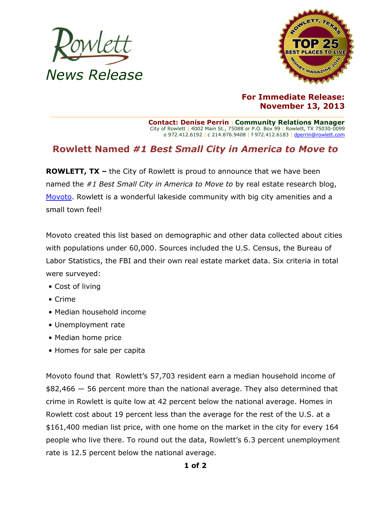



**For Immediate Release: November 13, 2013**

**Contact: Denise Perrin** | **Community Relations Manager** City of Rowlett | 4002 Main St., 75088 or P.O. Box 99 | Rowlett, TX 75030-0099 o 972.412.6192 | c 214.876.9408 | f 972.412.6183 [| dperrin@rowlett.com](mailto:dperrin@rowlett.com)

## **Rowlett Named** *#1 Best Small City in America to Move to*

**ROWLETT, TX –** the City of Rowlett is proud to announce that we have been named the *#1 Best Small City in America to Move to* by real estate research blog, [Movoto.](http://www.movoto.com/blog/top-ten/americas-best-small-cities-to-move-to/) Rowlett is a wonderful lakeside community with big city amenities and a small town feel!

Movoto created this list based on demographic and other data collected about cities with populations under 60,000. Sources included the U.S. Census, the Bureau of Labor Statistics, the FBI and their own real estate market data. Six criteria in total were surveyed:

- Cost of living
- Crime
- Median household income
- Unemployment rate
- Median home price
- Homes for sale per capita

Movoto found that Rowlett's 57,703 resident earn a median household income of \$82,466 — 56 percent more than the national average. They also determined that crime in Rowlett is quite low at 42 percent below the national average. Homes in Rowlett cost about 19 percent less than the average for the rest of the U.S. at a \$161,400 median list price, with one home on the market in the city for every 164 people who live there. To round out the data, Rowlett's 6.3 percent unemployment rate is 12.5 percent below the national average.